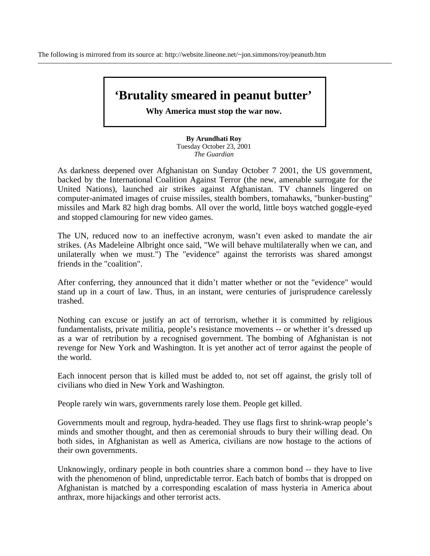## **'Brutality smeared in peanut butter'**

**Why America must stop the war now.** 

**By Arundhati Roy**  Tuesday October 23, 2001 *The Guardian*

As darkness deepened over Afghanistan on Sunday October 7 2001, the US government, backed by the International Coalition Against Terror (the new, amenable surrogate for the United Nations), launched air strikes against Afghanistan. TV channels lingered on computer-animated images of cruise missiles, stealth bombers, tomahawks, "bunker-busting" missiles and Mark 82 high drag bombs. All over the world, little boys watched goggle-eyed and stopped clamouring for new video games.

The UN, reduced now to an ineffective acronym, wasn't even asked to mandate the air strikes. (As Madeleine Albright once said, "We will behave multilaterally when we can, and unilaterally when we must.") The "evidence" against the terrorists was shared amongst friends in the "coalition".

After conferring, they announced that it didn't matter whether or not the "evidence" would stand up in a court of law. Thus, in an instant, were centuries of jurisprudence carelessly trashed.

Nothing can excuse or justify an act of terrorism, whether it is committed by religious fundamentalists, private militia, people's resistance movements -- or whether it's dressed up as a war of retribution by a recognised government. The bombing of Afghanistan is not revenge for New York and Washington. It is yet another act of terror against the people of the world.

Each innocent person that is killed must be added to, not set off against, the grisly toll of civilians who died in New York and Washington.

People rarely win wars, governments rarely lose them. People get killed.

Governments moult and regroup, hydra-headed. They use flags first to shrink-wrap people's minds and smother thought, and then as ceremonial shrouds to bury their willing dead. On both sides, in Afghanistan as well as America, civilians are now hostage to the actions of their own governments.

Unknowingly, ordinary people in both countries share a common bond -- they have to live with the phenomenon of blind, unpredictable terror. Each batch of bombs that is dropped on Afghanistan is matched by a corresponding escalation of mass hysteria in America about anthrax, more hijackings and other terrorist acts.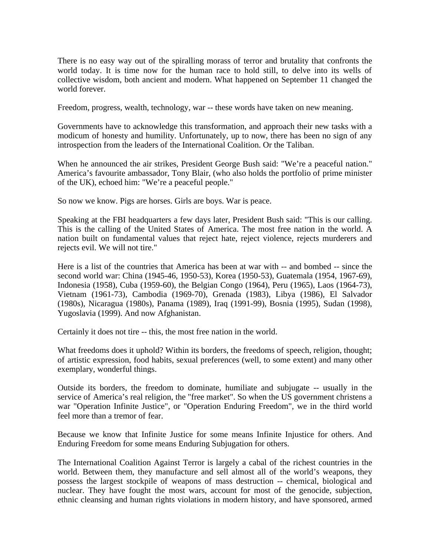There is no easy way out of the spiralling morass of terror and brutality that confronts the world today. It is time now for the human race to hold still, to delve into its wells of collective wisdom, both ancient and modern. What happened on September 11 changed the world forever.

Freedom, progress, wealth, technology, war -- these words have taken on new meaning.

Governments have to acknowledge this transformation, and approach their new tasks with a modicum of honesty and humility. Unfortunately, up to now, there has been no sign of any introspection from the leaders of the International Coalition. Or the Taliban.

When he announced the air strikes, President George Bush said: "We're a peaceful nation." America's favourite ambassador, Tony Blair, (who also holds the portfolio of prime minister of the UK), echoed him: "We're a peaceful people."

So now we know. Pigs are horses. Girls are boys. War is peace.

Speaking at the FBI headquarters a few days later, President Bush said: "This is our calling. This is the calling of the United States of America. The most free nation in the world. A nation built on fundamental values that reject hate, reject violence, rejects murderers and rejects evil. We will not tire."

Here is a list of the countries that America has been at war with -- and bombed -- since the second world war: China (1945-46, 1950-53), Korea (1950-53), Guatemala (1954, 1967-69), Indonesia (1958), Cuba (1959-60), the Belgian Congo (1964), Peru (1965), Laos (1964-73), Vietnam (1961-73), Cambodia (1969-70), Grenada (1983), Libya (1986), El Salvador (1980s), Nicaragua (1980s), Panama (1989), Iraq (1991-99), Bosnia (1995), Sudan (1998), Yugoslavia (1999). And now Afghanistan.

Certainly it does not tire -- this, the most free nation in the world.

What freedoms does it uphold? Within its borders, the freedoms of speech, religion, thought; of artistic expression, food habits, sexual preferences (well, to some extent) and many other exemplary, wonderful things.

Outside its borders, the freedom to dominate, humiliate and subjugate -- usually in the service of America's real religion, the "free market". So when the US government christens a war "Operation Infinite Justice", or "Operation Enduring Freedom", we in the third world feel more than a tremor of fear.

Because we know that Infinite Justice for some means Infinite Injustice for others. And Enduring Freedom for some means Enduring Subjugation for others.

The International Coalition Against Terror is largely a cabal of the richest countries in the world. Between them, they manufacture and sell almost all of the world's weapons, they possess the largest stockpile of weapons of mass destruction -- chemical, biological and nuclear. They have fought the most wars, account for most of the genocide, subjection, ethnic cleansing and human rights violations in modern history, and have sponsored, armed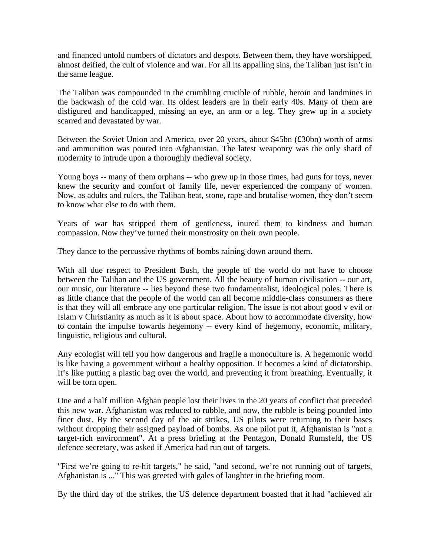and financed untold numbers of dictators and despots. Between them, they have worshipped, almost deified, the cult of violence and war. For all its appalling sins, the Taliban just isn't in the same league.

The Taliban was compounded in the crumbling crucible of rubble, heroin and landmines in the backwash of the cold war. Its oldest leaders are in their early 40s. Many of them are disfigured and handicapped, missing an eye, an arm or a leg. They grew up in a society scarred and devastated by war.

Between the Soviet Union and America, over 20 years, about \$45bn (£30bn) worth of arms and ammunition was poured into Afghanistan. The latest weaponry was the only shard of modernity to intrude upon a thoroughly medieval society.

Young boys -- many of them orphans -- who grew up in those times, had guns for toys, never knew the security and comfort of family life, never experienced the company of women. Now, as adults and rulers, the Taliban beat, stone, rape and brutalise women, they don't seem to know what else to do with them.

Years of war has stripped them of gentleness, inured them to kindness and human compassion. Now they've turned their monstrosity on their own people.

They dance to the percussive rhythms of bombs raining down around them.

With all due respect to President Bush, the people of the world do not have to choose between the Taliban and the US government. All the beauty of human civilisation -- our art, our music, our literature -- lies beyond these two fundamentalist, ideological poles. There is as little chance that the people of the world can all become middle-class consumers as there is that they will all embrace any one particular religion. The issue is not about good v evil or Islam v Christianity as much as it is about space. About how to accommodate diversity, how to contain the impulse towards hegemony -- every kind of hegemony, economic, military, linguistic, religious and cultural.

Any ecologist will tell you how dangerous and fragile a monoculture is. A hegemonic world is like having a government without a healthy opposition. It becomes a kind of dictatorship. It's like putting a plastic bag over the world, and preventing it from breathing. Eventually, it will be torn open.

One and a half million Afghan people lost their lives in the 20 years of conflict that preceded this new war. Afghanistan was reduced to rubble, and now, the rubble is being pounded into finer dust. By the second day of the air strikes, US pilots were returning to their bases without dropping their assigned payload of bombs. As one pilot put it, Afghanistan is "not a target-rich environment". At a press briefing at the Pentagon, Donald Rumsfeld, the US defence secretary, was asked if America had run out of targets.

"First we're going to re-hit targets," he said, "and second, we're not running out of targets, Afghanistan is ..." This was greeted with gales of laughter in the briefing room.

By the third day of the strikes, the US defence department boasted that it had "achieved air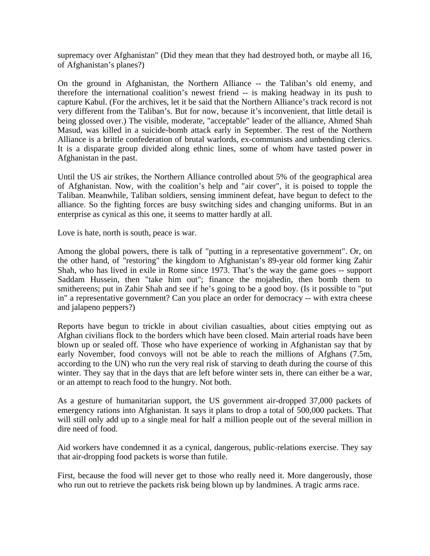supremacy over Afghanistan" (Did they mean that they had destroyed both, or maybe all 16, of Afghanistan's planes?)

On the ground in Afghanistan, the Northern Alliance -- the Taliban's old enemy, and therefore the international coalition's newest friend -- is making headway in its push to capture Kabul. (For the archives, let it be said that the Northern Alliance's track record is not very different from the Taliban's. But for now, because it's inconvenient, that little detail is being glossed over.) The visible, moderate, "acceptable" leader of the alliance, Ahmed Shah Masud, was killed in a suicide-bomb attack early in September. The rest of the Northern Alliance is a brittle confederation of brutal warlords, ex-communists and unbending clerics. It is a disparate group divided along ethnic lines, some of whom have tasted power in Afghanistan in the past.

Until the US air strikes, the Northern Alliance controlled about 5% of the geographical area of Afghanistan. Now, with the coalition's help and "air cover", it is poised to topple the Taliban. Meanwhile, Taliban soldiers, sensing imminent defeat, have begun to defect to the alliance. So the fighting forces are busy switching sides and changing uniforms. But in an enterprise as cynical as this one, it seems to matter hardly at all.

Love is hate, north is south, peace is war.

Among the global powers, there is talk of "putting in a representative government". Or, on the other hand, of "restoring" the kingdom to Afghanistan's 89-year old former king Zahir Shah, who has lived in exile in Rome since 1973. That's the way the game goes -- support Saddam Hussein, then "take him out"; finance the mojahedin, then bomb them to smithereens; put in Zahir Shah and see if he's going to be a good boy. (Is it possible to "put in" a representative government? Can you place an order for democracy -- with extra cheese and jalapeno peppers?)

Reports have begun to trickle in about civilian casualties, about cities emptying out as Afghan civilians flock to the borders which have been closed. Main arterial roads have been blown up or sealed off. Those who have experience of working in Afghanistan say that by early November, food convoys will not be able to reach the millions of Afghans (7.5m, according to the UN) who run the very real risk of starving to death during the course of this winter. They say that in the days that are left before winter sets in, there can either be a war, or an attempt to reach food to the hungry. Not both.

As a gesture of humanitarian support, the US government air-dropped 37,000 packets of emergency rations into Afghanistan. It says it plans to drop a total of 500,000 packets. That will still only add up to a single meal for half a million people out of the several million in dire need of food.

Aid workers have condemned it as a cynical, dangerous, public-relations exercise. They say that air-dropping food packets is worse than futile.

First, because the food will never get to those who really need it. More dangerously, those who run out to retrieve the packets risk being blown up by landmines. A tragic arms race.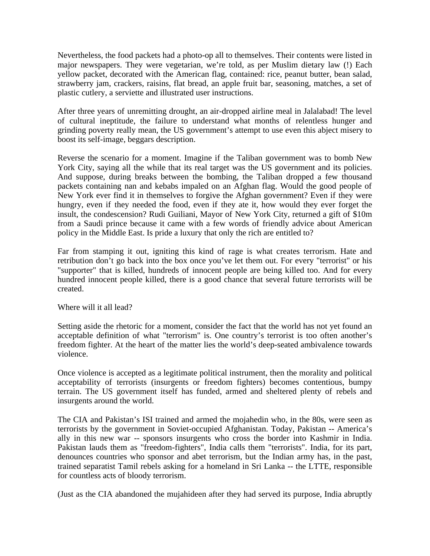Nevertheless, the food packets had a photo-op all to themselves. Their contents were listed in major newspapers. They were vegetarian, we're told, as per Muslim dietary law (!) Each yellow packet, decorated with the American flag, contained: rice, peanut butter, bean salad, strawberry jam, crackers, raisins, flat bread, an apple fruit bar, seasoning, matches, a set of plastic cutlery, a serviette and illustrated user instructions.

After three years of unremitting drought, an air-dropped airline meal in Jalalabad! The level of cultural ineptitude, the failure to understand what months of relentless hunger and grinding poverty really mean, the US government's attempt to use even this abject misery to boost its self-image, beggars description.

Reverse the scenario for a moment. Imagine if the Taliban government was to bomb New York City, saying all the while that its real target was the US government and its policies. And suppose, during breaks between the bombing, the Taliban dropped a few thousand packets containing nan and kebabs impaled on an Afghan flag. Would the good people of New York ever find it in themselves to forgive the Afghan government? Even if they were hungry, even if they needed the food, even if they ate it, how would they ever forget the insult, the condescension? Rudi Guiliani, Mayor of New York City, returned a gift of \$10m from a Saudi prince because it came with a few words of friendly advice about American policy in the Middle East. Is pride a luxury that only the rich are entitled to?

Far from stamping it out, igniting this kind of rage is what creates terrorism. Hate and retribution don't go back into the box once you've let them out. For every "terrorist" or his "supporter" that is killed, hundreds of innocent people are being killed too. And for every hundred innocent people killed, there is a good chance that several future terrorists will be created.

Where will it all lead?

Setting aside the rhetoric for a moment, consider the fact that the world has not yet found an acceptable definition of what "terrorism" is. One country's terrorist is too often another's freedom fighter. At the heart of the matter lies the world's deep-seated ambivalence towards violence.

Once violence is accepted as a legitimate political instrument, then the morality and political acceptability of terrorists (insurgents or freedom fighters) becomes contentious, bumpy terrain. The US government itself has funded, armed and sheltered plenty of rebels and insurgents around the world.

The CIA and Pakistan's ISI trained and armed the mojahedin who, in the 80s, were seen as terrorists by the government in Soviet-occupied Afghanistan. Today, Pakistan -- America's ally in this new war -- sponsors insurgents who cross the border into Kashmir in India. Pakistan lauds them as "freedom-fighters", India calls them "terrorists". India, for its part, denounces countries who sponsor and abet terrorism, but the Indian army has, in the past, trained separatist Tamil rebels asking for a homeland in Sri Lanka -- the LTTE, responsible for countless acts of bloody terrorism.

(Just as the CIA abandoned the mujahideen after they had served its purpose, India abruptly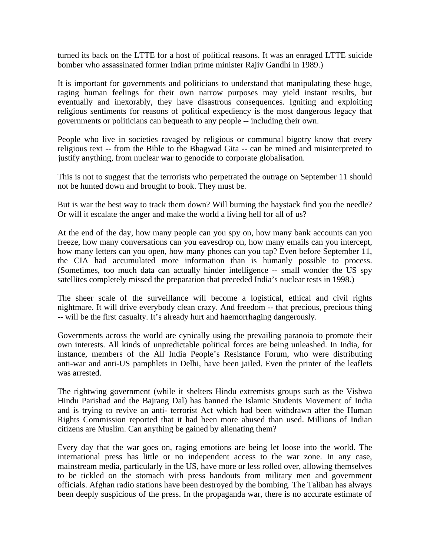turned its back on the LTTE for a host of political reasons. It was an enraged LTTE suicide bomber who assassinated former Indian prime minister Rajiv Gandhi in 1989.)

It is important for governments and politicians to understand that manipulating these huge, raging human feelings for their own narrow purposes may yield instant results, but eventually and inexorably, they have disastrous consequences. Igniting and exploiting religious sentiments for reasons of political expediency is the most dangerous legacy that governments or politicians can bequeath to any people -- including their own.

People who live in societies ravaged by religious or communal bigotry know that every religious text -- from the Bible to the Bhagwad Gita -- can be mined and misinterpreted to justify anything, from nuclear war to genocide to corporate globalisation.

This is not to suggest that the terrorists who perpetrated the outrage on September 11 should not be hunted down and brought to book. They must be.

But is war the best way to track them down? Will burning the haystack find you the needle? Or will it escalate the anger and make the world a living hell for all of us?

At the end of the day, how many people can you spy on, how many bank accounts can you freeze, how many conversations can you eavesdrop on, how many emails can you intercept, how many letters can you open, how many phones can you tap? Even before September 11, the CIA had accumulated more information than is humanly possible to process. (Sometimes, too much data can actually hinder intelligence -- small wonder the US spy satellites completely missed the preparation that preceded India's nuclear tests in 1998.)

The sheer scale of the surveillance will become a logistical, ethical and civil rights nightmare. It will drive everybody clean crazy. And freedom -- that precious, precious thing -- will be the first casualty. It's already hurt and haemorrhaging dangerously.

Governments across the world are cynically using the prevailing paranoia to promote their own interests. All kinds of unpredictable political forces are being unleashed. In India, for instance, members of the All India People's Resistance Forum, who were distributing anti-war and anti-US pamphlets in Delhi, have been jailed. Even the printer of the leaflets was arrested.

The rightwing government (while it shelters Hindu extremists groups such as the Vishwa Hindu Parishad and the Bajrang Dal) has banned the Islamic Students Movement of India and is trying to revive an anti- terrorist Act which had been withdrawn after the Human Rights Commission reported that it had been more abused than used. Millions of Indian citizens are Muslim. Can anything be gained by alienating them?

Every day that the war goes on, raging emotions are being let loose into the world. The international press has little or no independent access to the war zone. In any case, mainstream media, particularly in the US, have more or less rolled over, allowing themselves to be tickled on the stomach with press handouts from military men and government officials. Afghan radio stations have been destroyed by the bombing. The Taliban has always been deeply suspicious of the press. In the propaganda war, there is no accurate estimate of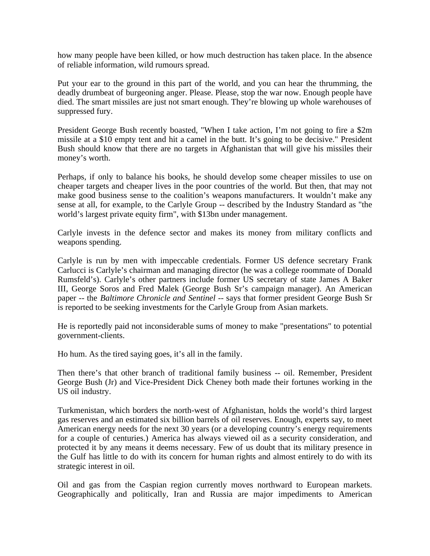how many people have been killed, or how much destruction has taken place. In the absence of reliable information, wild rumours spread.

Put your ear to the ground in this part of the world, and you can hear the thrumming, the deadly drumbeat of burgeoning anger. Please. Please, stop the war now. Enough people have died. The smart missiles are just not smart enough. They're blowing up whole warehouses of suppressed fury.

President George Bush recently boasted, "When I take action, I'm not going to fire a \$2m missile at a \$10 empty tent and hit a camel in the butt. It's going to be decisive." President Bush should know that there are no targets in Afghanistan that will give his missiles their money's worth.

Perhaps, if only to balance his books, he should develop some cheaper missiles to use on cheaper targets and cheaper lives in the poor countries of the world. But then, that may not make good business sense to the coalition's weapons manufacturers. It wouldn't make any sense at all, for example, to the Carlyle Group -- described by the Industry Standard as "the world's largest private equity firm", with \$13bn under management.

Carlyle invests in the defence sector and makes its money from military conflicts and weapons spending.

Carlyle is run by men with impeccable credentials. Former US defence secretary Frank Carlucci is Carlyle's chairman and managing director (he was a college roommate of Donald Rumsfeld's). Carlyle's other partners include former US secretary of state James A Baker III, George Soros and Fred Malek (George Bush Sr's campaign manager). An American paper -- the *Baltimore Chronicle and Sentinel* -- says that former president George Bush Sr is reported to be seeking investments for the Carlyle Group from Asian markets.

He is reportedly paid not inconsiderable sums of money to make "presentations" to potential government-clients.

Ho hum. As the tired saying goes, it's all in the family.

Then there's that other branch of traditional family business -- oil. Remember, President George Bush (Jr) and Vice-President Dick Cheney both made their fortunes working in the US oil industry.

Turkmenistan, which borders the north-west of Afghanistan, holds the world's third largest gas reserves and an estimated six billion barrels of oil reserves. Enough, experts say, to meet American energy needs for the next 30 years (or a developing country's energy requirements for a couple of centuries.) America has always viewed oil as a security consideration, and protected it by any means it deems necessary. Few of us doubt that its military presence in the Gulf has little to do with its concern for human rights and almost entirely to do with its strategic interest in oil.

Oil and gas from the Caspian region currently moves northward to European markets. Geographically and politically, Iran and Russia are major impediments to American